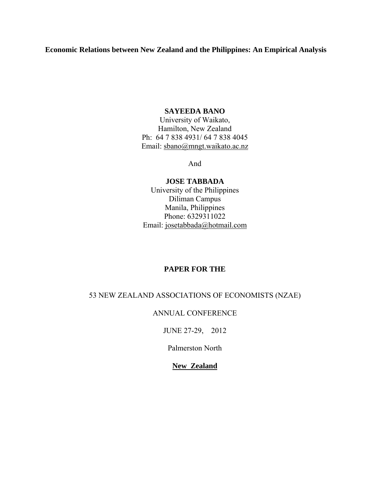**Economic Relations between New Zealand and the Philippines: An Empirical Analysis** 

## **SAYEEDA BANO**

University of Waikato, Hamilton, New Zealand Ph: 64 7 838 4931/ 64 7 838 4045 Email: sbano@mngt.waikato.ac.nz

And

**JOSE TABBADA**  University of the Philippines Diliman Campus Manila, Philippines Phone: 6329311022 Email: josetabbada@hotmail.com

# **PAPER FOR THE**

# 53 NEW ZEALAND ASSOCIATIONS OF ECONOMISTS (NZAE)

## ANNUAL CONFERENCE

JUNE 27-29, 2012

Palmerston North

**New Zealand**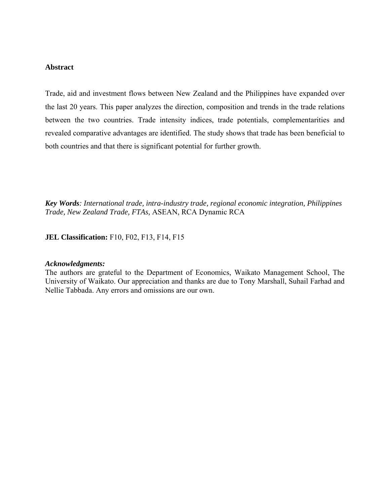### **Abstract**

Trade, aid and investment flows between New Zealand and the Philippines have expanded over the last 20 years. This paper analyzes the direction, composition and trends in the trade relations between the two countries. Trade intensity indices, trade potentials, complementarities and revealed comparative advantages are identified. The study shows that trade has been beneficial to both countries and that there is significant potential for further growth.

*Key Words: International trade, intra-industry trade, regional economic integration, Philippines Trade, New Zealand Trade, FTAs,* ASEAN, RCA Dynamic RCA

### **JEL Classification:** F10, F02, F13, F14, F15

#### *Acknowledgments:*

The authors are grateful to the Department of Economics, Waikato Management School, The University of Waikato. Our appreciation and thanks are due to Tony Marshall, Suhail Farhad and Nellie Tabbada. Any errors and omissions are our own.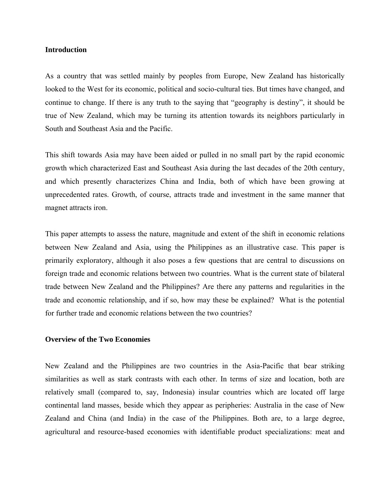### **Introduction**

As a country that was settled mainly by peoples from Europe, New Zealand has historically looked to the West for its economic, political and socio-cultural ties. But times have changed, and continue to change. If there is any truth to the saying that "geography is destiny", it should be true of New Zealand, which may be turning its attention towards its neighbors particularly in South and Southeast Asia and the Pacific.

This shift towards Asia may have been aided or pulled in no small part by the rapid economic growth which characterized East and Southeast Asia during the last decades of the 20th century, and which presently characterizes China and India, both of which have been growing at unprecedented rates. Growth, of course, attracts trade and investment in the same manner that magnet attracts iron.

This paper attempts to assess the nature, magnitude and extent of the shift in economic relations between New Zealand and Asia, using the Philippines as an illustrative case. This paper is primarily exploratory, although it also poses a few questions that are central to discussions on foreign trade and economic relations between two countries. What is the current state of bilateral trade between New Zealand and the Philippines? Are there any patterns and regularities in the trade and economic relationship, and if so, how may these be explained? What is the potential for further trade and economic relations between the two countries?

## **Overview of the Two Economies**

New Zealand and the Philippines are two countries in the Asia-Pacific that bear striking similarities as well as stark contrasts with each other. In terms of size and location, both are relatively small (compared to, say, Indonesia) insular countries which are located off large continental land masses, beside which they appear as peripheries: Australia in the case of New Zealand and China (and India) in the case of the Philippines. Both are, to a large degree, agricultural and resource-based economies with identifiable product specializations: meat and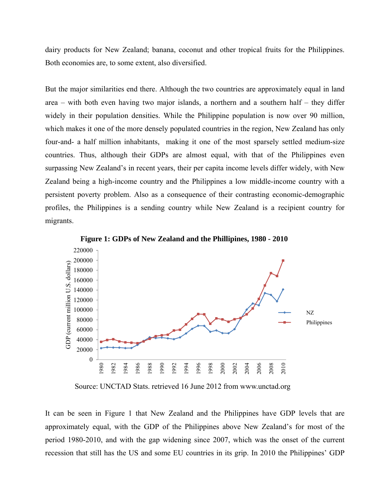dairy products for New Zealand; banana, coconut and other tropical fruits for the Philippines. Both economies are, to some extent, also diversified.

But the major similarities end there. Although the two countries are approximately equal in land area – with both even having two major islands, a northern and a southern half – they differ widely in their population densities. While the Philippine population is now over 90 million, which makes it one of the more densely populated countries in the region, New Zealand has only four-and- a half million inhabitants, making it one of the most sparsely settled medium-size countries. Thus, although their GDPs are almost equal, with that of the Philippines even surpassing New Zealand's in recent years, their per capita income levels differ widely, with New Zealand being a high-income country and the Philippines a low middle-income country with a persistent poverty problem. Also as a consequence of their contrasting economic-demographic profiles, the Philippines is a sending country while New Zealand is a recipient country for migrants.



**Figure 1: GDPs of New Zealand and the Phillipines, 1980 - 2010**

Source: UNCTAD Stats. retrieved 16 June 2012 from www.unctad.org

It can be seen in Figure 1 that New Zealand and the Philippines have GDP levels that are approximately equal, with the GDP of the Philippines above New Zealand's for most of the period 1980-2010, and with the gap widening since 2007, which was the onset of the current recession that still has the US and some EU countries in its grip. In 2010 the Philippines' GDP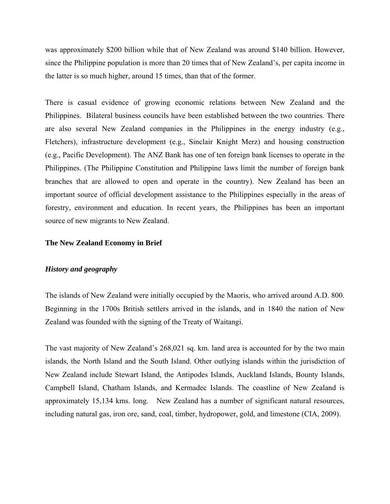was approximately \$200 billion while that of New Zealand was around \$140 billion. However, since the Philippine population is more than 20 times that of New Zealand's, per capita income in the latter is so much higher, around 15 times, than that of the former.

There is casual evidence of growing economic relations between New Zealand and the Philippines. Bilateral business councils have been established between the two countries. There are also several New Zealand companies in the Philippines in the energy industry (e.g., Fletchers), infrastructure development (e.g., Sinclair Knight Merz) and housing construction (e.g., Pacific Development). The ANZ Bank has one of ten foreign bank licenses to operate in the Philippines. (The Philippine Constitution and Philippine laws limit the number of foreign bank branches that are allowed to open and operate in the country). New Zealand has been an important source of official development assistance to the Philippines especially in the areas of forestry, environment and education. In recent years, the Philippines has been an important source of new migrants to New Zealand.

## **The New Zealand Economy in Brief**

## *History and geography*

The islands of New Zealand were initially occupied by the Maoris, who arrived around A.D. 800. Beginning in the 1700s British settlers arrived in the islands, and in 1840 the nation of New Zealand was founded with the signing of the Treaty of Waitangi.

The vast majority of New Zealand's 268,021 sq. km. land area is accounted for by the two main islands, the North Island and the South Island. Other outlying islands within the jurisdiction of New Zealand include Stewart Island, the Antipodes Islands, Auckland Islands, Bounty Islands, Campbell Island, Chatham Islands, and Kermadec Islands. The coastline of New Zealand is approximately 15,134 kms. long. New Zealand has a number of significant natural resources, including natural gas, iron ore, sand, coal, timber, hydropower, gold, and limestone (CIA, 2009).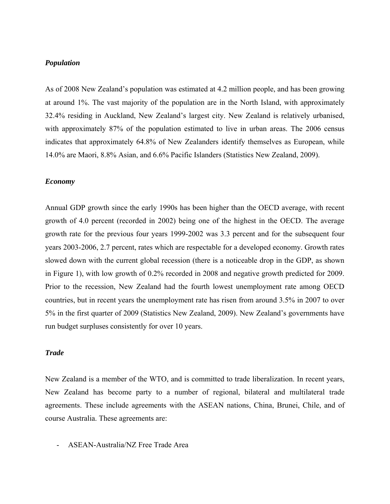## *Population*

As of 2008 New Zealand's population was estimated at 4.2 million people, and has been growing at around 1%. The vast majority of the population are in the North Island, with approximately 32.4% residing in Auckland, New Zealand's largest city. New Zealand is relatively urbanised, with approximately 87% of the population estimated to live in urban areas. The 2006 census indicates that approximately 64.8% of New Zealanders identify themselves as European, while 14.0% are Maori, 8.8% Asian, and 6.6% Pacific Islanders (Statistics New Zealand, 2009).

#### *Economy*

Annual GDP growth since the early 1990s has been higher than the OECD average, with recent growth of 4.0 percent (recorded in 2002) being one of the highest in the OECD. The average growth rate for the previous four years 1999-2002 was 3.3 percent and for the subsequent four years 2003-2006, 2.7 percent, rates which are respectable for a developed economy. Growth rates slowed down with the current global recession (there is a noticeable drop in the GDP, as shown in Figure 1), with low growth of 0.2% recorded in 2008 and negative growth predicted for 2009. Prior to the recession, New Zealand had the fourth lowest unemployment rate among OECD countries, but in recent years the unemployment rate has risen from around 3.5% in 2007 to over 5% in the first quarter of 2009 (Statistics New Zealand, 2009). New Zealand's governments have run budget surpluses consistently for over 10 years.

### *Trade*

New Zealand is a member of the WTO, and is committed to trade liberalization. In recent years, New Zealand has become party to a number of regional, bilateral and multilateral trade agreements. These include agreements with the ASEAN nations, China, Brunei, Chile, and of course Australia. These agreements are:

- ASEAN-Australia/NZ Free Trade Area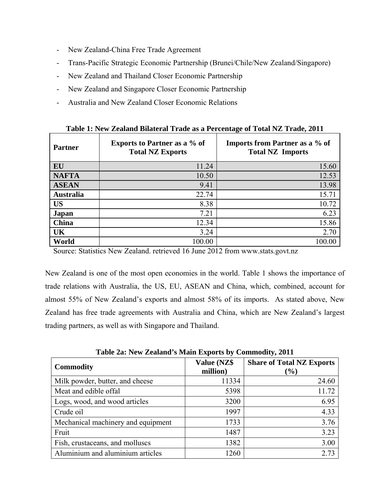- New Zealand-China Free Trade Agreement
- Trans-Pacific Strategic Economic Partnership (Brunei/Chile/New Zealand/Singapore)
- New Zealand and Thailand Closer Economic Partnership
- New Zealand and Singapore Closer Economic Partnership
- Australia and New Zealand Closer Economic Relations

| <b>Partner</b>   | <b>Exports to Partner as a % of</b><br><b>Total NZ Exports</b> | o<br><b>Imports from Partner as a % of</b><br><b>Total NZ Imports</b> |
|------------------|----------------------------------------------------------------|-----------------------------------------------------------------------|
| EU               | 11.24                                                          | 15.60                                                                 |
| <b>NAFTA</b>     | 10.50                                                          | 12.53                                                                 |
| <b>ASEAN</b>     | 9.41                                                           | 13.98                                                                 |
| <b>Australia</b> | 22.74                                                          | 15.71                                                                 |
| <b>US</b>        | 8.38                                                           | 10.72                                                                 |
| <b>Japan</b>     | 7.21                                                           | 6.23                                                                  |
| <b>China</b>     | 12.34                                                          | 15.86                                                                 |
| UK               | 3.24                                                           | 2.70                                                                  |
| World            | 100.00                                                         | 100.00                                                                |

|  | Table 1: New Zealand Bilateral Trade as a Percentage of Total NZ Trade, 2011 |
|--|------------------------------------------------------------------------------|

Source: Statistics New Zealand. retrieved 16 June 2012 from www.stats.govt.nz

New Zealand is one of the most open economies in the world. Table 1 shows the importance of trade relations with Australia, the US, EU, ASEAN and China, which, combined, account for almost 55% of New Zealand's exports and almost 58% of its imports. As stated above, New Zealand has free trade agreements with Australia and China, which are New Zealand's largest trading partners, as well as with Singapore and Thailand.

**Table 2a: New Zealand's Main Exports by Commodity, 2011** 

| <b>Commodity</b>                   | Value (NZ\$<br>million) | <b>Share of Total NZ Exports</b><br>$(\%)$ |
|------------------------------------|-------------------------|--------------------------------------------|
| Milk powder, butter, and cheese    | 11334                   | 24.60                                      |
| Meat and edible offal              | 5398                    | 11.72                                      |
| Logs, wood, and wood articles      | 3200                    | 6.95                                       |
| Crude oil                          | 1997                    | 4.33                                       |
| Mechanical machinery and equipment | 1733                    | 3.76                                       |
| Fruit                              | 1487                    | 3.23                                       |
| Fish, crustaceans, and molluscs    | 1382                    | 3.00                                       |
| Aluminium and aluminium articles   | 1260                    | 2.73                                       |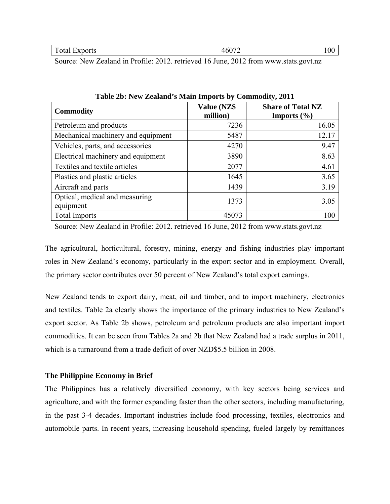Source: New Zealand in Profile: 2012. retrieved 16 June, 2012 from www.stats.govt.nz

| <b>Commodity</b>                            | Value (NZ\$<br>million) | <b>Share of Total NZ</b><br><b>Imports</b> $(\% )$ |
|---------------------------------------------|-------------------------|----------------------------------------------------|
| Petroleum and products                      | 7236                    | 16.05                                              |
| Mechanical machinery and equipment          | 5487                    | 12.17                                              |
| Vehicles, parts, and accessories            | 4270                    | 9.47                                               |
| Electrical machinery and equipment          | 3890                    | 8.63                                               |
| Textiles and textile articles               | 2077                    | 4.61                                               |
| Plastics and plastic articles               | 1645                    | 3.65                                               |
| Aircraft and parts                          | 1439                    | 3.19                                               |
| Optical, medical and measuring<br>equipment | 1373                    | 3.05                                               |
| <b>Total Imports</b>                        | 45073                   | 100                                                |

**Table 2b: New Zealand's Main Imports by Commodity, 2011** 

Source: New Zealand in Profile: 2012. retrieved 16 June, 2012 from www.stats.govt.nz

The agricultural, horticultural, forestry, mining, energy and fishing industries play important roles in New Zealand's economy, particularly in the export sector and in employment. Overall, the primary sector contributes over 50 percent of New Zealand's total export earnings.

New Zealand tends to export dairy, meat, oil and timber, and to import machinery, electronics and textiles. Table 2a clearly shows the importance of the primary industries to New Zealand's export sector. As Table 2b shows, petroleum and petroleum products are also important import commodities. It can be seen from Tables 2a and 2b that New Zealand had a trade surplus in 2011, which is a turnaround from a trade deficit of over NZD\$5.5 billion in 2008.

# **The Philippine Economy in Brief**

The Philippines has a relatively diversified economy, with key sectors being services and agriculture, and with the former expanding faster than the other sectors, including manufacturing, in the past 3-4 decades. Important industries include food processing, textiles, electronics and automobile parts. In recent years, increasing household spending, fueled largely by remittances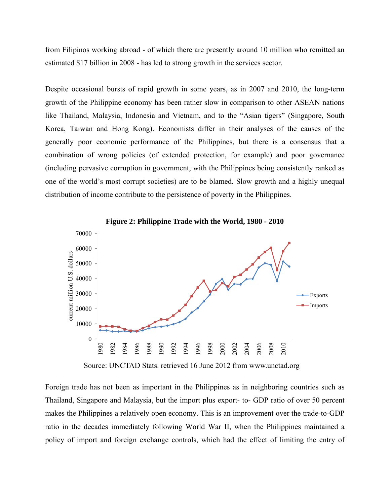from Filipinos working abroad - of which there are presently around 10 million who remitted an estimated \$17 billion in 2008 - has led to strong growth in the services sector.

Despite occasional bursts of rapid growth in some years, as in 2007 and 2010, the long-term growth of the Philippine economy has been rather slow in comparison to other ASEAN nations like Thailand, Malaysia, Indonesia and Vietnam, and to the "Asian tigers" (Singapore, South Korea, Taiwan and Hong Kong). Economists differ in their analyses of the causes of the generally poor economic performance of the Philippines, but there is a consensus that a combination of wrong policies (of extended protection, for example) and poor governance (including pervasive corruption in government, with the Philippines being consistently ranked as one of the world's most corrupt societies) are to be blamed. Slow growth and a highly unequal distribution of income contribute to the persistence of poverty in the Philippines.



**Figure 2: Philippine Trade with the World, 1980 - 2010**

Source: UNCTAD Stats. retrieved 16 June 2012 from www.unctad.org

Foreign trade has not been as important in the Philippines as in neighboring countries such as Thailand, Singapore and Malaysia, but the import plus export- to- GDP ratio of over 50 percent makes the Philippines a relatively open economy. This is an improvement over the trade-to-GDP ratio in the decades immediately following World War II, when the Philippines maintained a policy of import and foreign exchange controls, which had the effect of limiting the entry of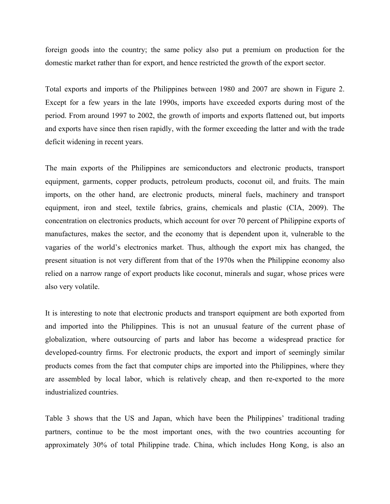foreign goods into the country; the same policy also put a premium on production for the domestic market rather than for export, and hence restricted the growth of the export sector.

Total exports and imports of the Philippines between 1980 and 2007 are shown in Figure 2. Except for a few years in the late 1990s, imports have exceeded exports during most of the period. From around 1997 to 2002, the growth of imports and exports flattened out, but imports and exports have since then risen rapidly, with the former exceeding the latter and with the trade deficit widening in recent years.

The main exports of the Philippines are semiconductors and electronic products, transport equipment, garments, copper products, petroleum products, coconut oil, and fruits. The main imports, on the other hand, are electronic products, mineral fuels, machinery and transport equipment, iron and steel, textile fabrics, grains, chemicals and plastic (CIA, 2009). The concentration on electronics products, which account for over 70 percent of Philippine exports of manufactures, makes the sector, and the economy that is dependent upon it, vulnerable to the vagaries of the world's electronics market. Thus, although the export mix has changed, the present situation is not very different from that of the 1970s when the Philippine economy also relied on a narrow range of export products like coconut, minerals and sugar, whose prices were also very volatile.

It is interesting to note that electronic products and transport equipment are both exported from and imported into the Philippines. This is not an unusual feature of the current phase of globalization, where outsourcing of parts and labor has become a widespread practice for developed-country firms. For electronic products, the export and import of seemingly similar products comes from the fact that computer chips are imported into the Philippines, where they are assembled by local labor, which is relatively cheap, and then re-exported to the more industrialized countries.

Table 3 shows that the US and Japan, which have been the Philippines' traditional trading partners, continue to be the most important ones, with the two countries accounting for approximately 30% of total Philippine trade. China, which includes Hong Kong, is also an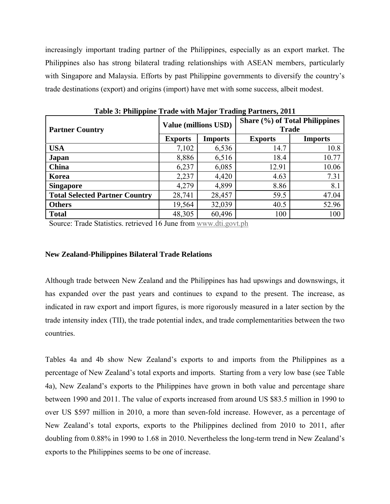increasingly important trading partner of the Philippines, especially as an export market. The Philippines also has strong bilateral trading relationships with ASEAN members, particularly with Singapore and Malaysia. Efforts by past Philippine governments to diversify the country's trade destinations (export) and origins (import) have met with some success, albeit modest.

| <b>Partner Country</b>                |                | <b>Value (millions USD)</b> | Share (%) of Total Philippines<br><b>Trade</b> |                |  |
|---------------------------------------|----------------|-----------------------------|------------------------------------------------|----------------|--|
|                                       | <b>Exports</b> | <b>Imports</b>              | <b>Exports</b>                                 | <b>Imports</b> |  |
| <b>USA</b>                            | 7,102          | 6,536                       | 14.7                                           | 10.8           |  |
| Japan                                 | 8,886          | 6,516                       | 18.4                                           | 10.77          |  |
| China                                 | 6,237          | 6,085                       | 12.91                                          | 10.06          |  |
| Korea                                 | 2,237          | 4,420                       | 4.63                                           | 7.31           |  |
| <b>Singapore</b>                      | 4,279          | 4,899                       | 8.86                                           | 8.1            |  |
| <b>Total Selected Partner Country</b> | 28,741         | 28,457                      | 59.5                                           | 47.04          |  |
| <b>Others</b>                         | 19,564         | 32,039                      | 40.5                                           | 52.96          |  |
| <b>Total</b>                          | 48,305         | 60,496                      | 100                                            | 100            |  |

**Table 3: Philippine Trade with Major Trading Partners, 2011** 

Source: Trade Statistics. retrieved 16 June from www.dti.govt.ph

## **New Zealand-Philippines Bilateral Trade Relations**

Although trade between New Zealand and the Philippines has had upswings and downswings, it has expanded over the past years and continues to expand to the present. The increase, as indicated in raw export and import figures, is more rigorously measured in a later section by the trade intensity index (TII), the trade potential index, and trade complementarities between the two countries.

Tables 4a and 4b show New Zealand's exports to and imports from the Philippines as a percentage of New Zealand's total exports and imports. Starting from a very low base (see Table 4a), New Zealand's exports to the Philippines have grown in both value and percentage share between 1990 and 2011. The value of exports increased from around US \$83.5 million in 1990 to over US \$597 million in 2010, a more than seven-fold increase. However, as a percentage of New Zealand's total exports, exports to the Philippines declined from 2010 to 2011, after doubling from 0.88% in 1990 to 1.68 in 2010. Nevertheless the long-term trend in New Zealand's exports to the Philippines seems to be one of increase.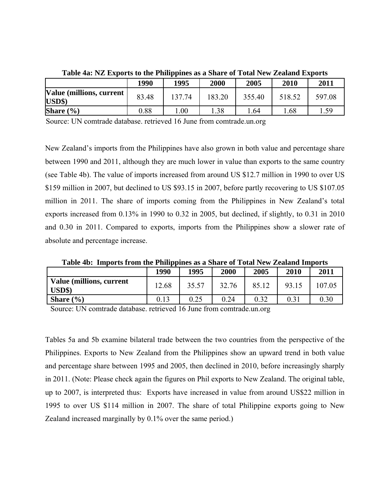|                                    | 1990     | 1995    | 2000   | 2005   | 2010   | 2011   |
|------------------------------------|----------|---------|--------|--------|--------|--------|
| Value (millions, current<br>USD\$) | 83.48    | 137.74  | 183.20 | 355.40 | 518.52 | 597.08 |
| Share $(\% )$                      | $0.88\,$ | $.00\,$ | l.38   | . .64  | . 68   | 15Q    |

**Table 4a: NZ Exports to the Philippines as a Share of Total New Zealand Exports** 

Source: UN comtrade database. retrieved 16 June from comtrade.un.org

New Zealand's imports from the Philippines have also grown in both value and percentage share between 1990 and 2011, although they are much lower in value than exports to the same country (see Table 4b). The value of imports increased from around US \$12.7 million in 1990 to over US \$159 million in 2007, but declined to US \$93.15 in 2007, before partly recovering to US \$107.05 million in 2011. The share of imports coming from the Philippines in New Zealand's total exports increased from 0.13% in 1990 to 0.32 in 2005, but declined, if slightly, to 0.31 in 2010 and 0.30 in 2011. Compared to exports, imports from the Philippines show a slower rate of absolute and percentage increase.

**Table 4b: Imports from the Philippines as a Share of Total New Zealand Imports** 

|                                                          | 1990  | 1995  | 2000  | 2005  | 2010  | 2011   |
|----------------------------------------------------------|-------|-------|-------|-------|-------|--------|
| <b>Value (millions, current)</b><br>$\boldsymbol{USD\$}$ | 12.68 | 35.57 | 32.76 | 85.12 | 93.15 | 107.05 |
| Share $(\% )$                                            | 0.13  | 0.25  | 0.24  | 0.32  | 0.31  | 0.30   |

Source: UN comtrade database. retrieved 16 June from comtrade.un.org

Tables 5a and 5b examine bilateral trade between the two countries from the perspective of the Philippines. Exports to New Zealand from the Philippines show an upward trend in both value and percentage share between 1995 and 2005, then declined in 2010, before increasingly sharply in 2011. (Note: Please check again the figures on Phil exports to New Zealand. The original table, up to 2007, is interpreted thus: Exports have increased in value from around US\$22 million in 1995 to over US \$114 million in 2007. The share of total Philippine exports going to New Zealand increased marginally by 0.1% over the same period.)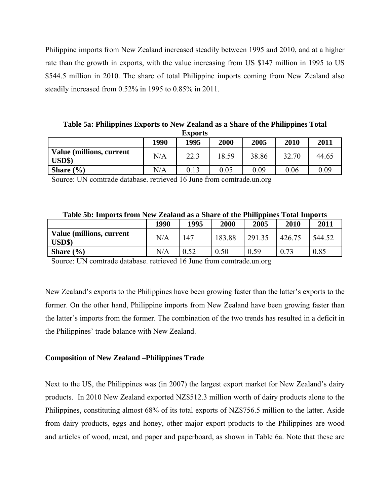Philippine imports from New Zealand increased steadily between 1995 and 2010, and at a higher rate than the growth in exports, with the value increasing from US \$147 million in 1995 to US \$544.5 million in 2010. The share of total Philippine imports coming from New Zealand also steadily increased from 0.52% in 1995 to 0.85% in 2011.

**Table 5a: Philippines Exports to New Zealand as a Share of the Philippines Total Exports** 

| <b>EAPOL to</b><br>2011<br>1990<br>2000<br>2010<br>1995<br>2005 |     |      |       |       |       |       |
|-----------------------------------------------------------------|-----|------|-------|-------|-------|-------|
| Value (millions, current<br>$\mathbf{USD\$}$                    | N/A | 22.3 | 18.59 | 38.86 | 32.70 | 44.65 |
| Share $(\% )$                                                   | N/A | 0.13 | 0.05  | 0.09  | 0.06  | 0.09  |

Source: UN comtrade database. retrieved 16 June from comtrade.un.org

| Table 5b: Imports from New Zealand as a Share of the Philippines Total Imports |  |  |  |  |  |  |  |
|--------------------------------------------------------------------------------|--|--|--|--|--|--|--|
|--------------------------------------------------------------------------------|--|--|--|--|--|--|--|

|                                            | 1990 | 1995 | 2000   | --<br>2005 | 2010   | 2011   |
|--------------------------------------------|------|------|--------|------------|--------|--------|
| <b>Value (millions, current)</b><br>USD\$) | N/A  | 147  | 183.88 | 291.35     | 426.75 | 544.52 |
| Share $(\% )$                              | N/A  | 0.52 | 0.50   | 0.59       | 73     | 0.85   |

Source: UN comtrade database. retrieved 16 June from comtrade.un.org

New Zealand's exports to the Philippines have been growing faster than the latter's exports to the former. On the other hand, Philippine imports from New Zealand have been growing faster than the latter's imports from the former. The combination of the two trends has resulted in a deficit in the Philippines' trade balance with New Zealand.

# **Composition of New Zealand –Philippines Trade**

Next to the US, the Philippines was (in 2007) the largest export market for New Zealand's dairy products. In 2010 New Zealand exported NZ\$512.3 million worth of dairy products alone to the Philippines, constituting almost 68% of its total exports of NZ\$756.5 million to the latter. Aside from dairy products, eggs and honey, other major export products to the Philippines are wood and articles of wood, meat, and paper and paperboard, as shown in Table 6a. Note that these are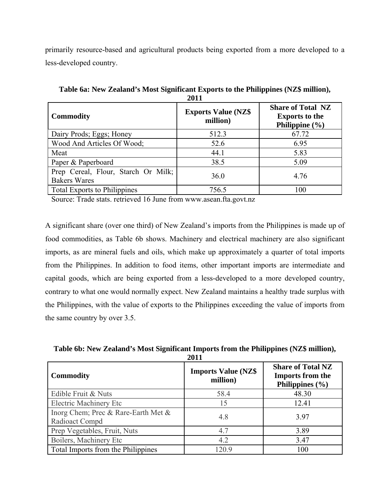primarily resource-based and agricultural products being exported from a more developed to a less-developed country.

|                                                            | ----                                   |                                                                         |  |
|------------------------------------------------------------|----------------------------------------|-------------------------------------------------------------------------|--|
| <b>Commodity</b>                                           | <b>Exports Value (NZ\$</b><br>million) | <b>Share of Total NZ</b><br><b>Exports to the</b><br>Philippine $(\% )$ |  |
| Dairy Prods; Eggs; Honey                                   | 512.3                                  | 67.72                                                                   |  |
| Wood And Articles Of Wood;                                 | 52.6                                   | 6.95                                                                    |  |
| Meat                                                       | 44.1                                   | 5.83                                                                    |  |
| Paper & Paperboard                                         | 38.5                                   | 5.09                                                                    |  |
| Prep Cereal, Flour, Starch Or Milk;<br><b>Bakers Wares</b> | 36.0                                   | 4.76                                                                    |  |
| <b>Total Exports to Philippines</b>                        | 756.5                                  | 100                                                                     |  |

**Table 6a: New Zealand's Most Significant Exports to the Philippines (NZ\$ million), 2011** 

Source: Trade stats. retrieved 16 June from www.asean.fta.govt.nz

A significant share (over one third) of New Zealand's imports from the Philippines is made up of food commodities, as Table 6b shows. Machinery and electrical machinery are also significant imports, as are mineral fuels and oils, which make up approximately a quarter of total imports from the Philippines. In addition to food items, other important imports are intermediate and capital goods, which are being exported from a less-developed to a more developed country, contrary to what one would normally expect. New Zealand maintains a healthy trade surplus with the Philippines, with the value of exports to the Philippines exceeding the value of imports from the same country by over 3.5.

| <i>E</i> vil                                          |                                        |                                                                            |  |  |  |  |
|-------------------------------------------------------|----------------------------------------|----------------------------------------------------------------------------|--|--|--|--|
| <b>Commodity</b>                                      | <b>Imports Value (NZ\$</b><br>million) | <b>Share of Total NZ</b><br><b>Imports from the</b><br>Philippines $(\% )$ |  |  |  |  |
| Edible Fruit & Nuts                                   | 58.4                                   | 48.30                                                                      |  |  |  |  |
| <b>Electric Machinery Etc</b>                         | 15                                     | 12.41                                                                      |  |  |  |  |
| Inorg Chem; Prec & Rare-Earth Met &<br>Radioact Compd | 4.8                                    | 3.97                                                                       |  |  |  |  |
| Prep Vegetables, Fruit, Nuts                          | 4.7                                    | 3.89                                                                       |  |  |  |  |
| Boilers, Machinery Etc                                | 4.2                                    | 3.47                                                                       |  |  |  |  |
| Total Imports from the Philippines                    | 120.9                                  | 100                                                                        |  |  |  |  |

**Table 6b: New Zealand's Most Significant Imports from the Philippines (NZ\$ million), 2011**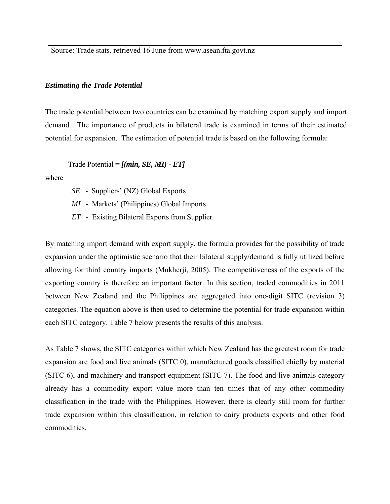Source: Trade stats. retrieved 16 June from www.asean.fta.govt.nz

### *Estimating the Trade Potential*

The trade potential between two countries can be examined by matching export supply and import demand. The importance of products in bilateral trade is examined in terms of their estimated potential for expansion. The estimation of potential trade is based on the following formula:

Trade Potential = *[(min, SE, MI) - ET]* 

where

- *SE*  Suppliers' (NZ) Global Exports
- *MI* Markets' (Philippines) Global Imports
- *ET* Existing Bilateral Exports from Supplier

By matching import demand with export supply, the formula provides for the possibility of trade expansion under the optimistic scenario that their bilateral supply/demand is fully utilized before allowing for third country imports (Mukherji, 2005). The competitiveness of the exports of the exporting country is therefore an important factor. In this section, traded commodities in 2011 between New Zealand and the Philippines are aggregated into one-digit SITC (revision 3) categories. The equation above is then used to determine the potential for trade expansion within each SITC category. Table 7 below presents the results of this analysis.

As Table 7 shows, the SITC categories within which New Zealand has the greatest room for trade expansion are food and live animals (SITC 0), manufactured goods classified chiefly by material (SITC 6), and machinery and transport equipment (SITC 7). The food and live animals category already has a commodity export value more than ten times that of any other commodity classification in the trade with the Philippines. However, there is clearly still room for further trade expansion within this classification, in relation to dairy products exports and other food commodities.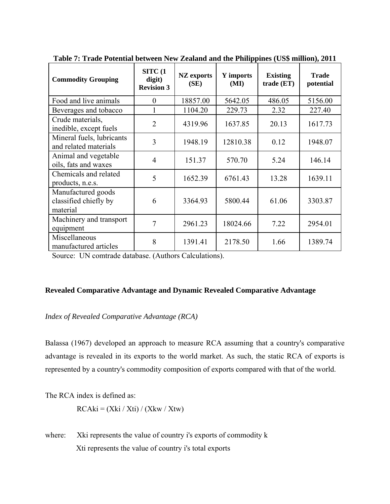| <b>Commodity Grouping</b>                               | STTC(1)<br>digit)<br><b>Revision 3</b> | <b>NZ</b> exports<br>(SE) | Y imports<br>(MI) | <b>Existing</b><br>trade (ET) | <b>Trade</b><br>potential |
|---------------------------------------------------------|----------------------------------------|---------------------------|-------------------|-------------------------------|---------------------------|
| Food and live animals                                   | $\Omega$                               | 18857.00                  | 5642.05           | 486.05                        | 5156.00                   |
| Beverages and tobacco                                   |                                        | 1104.20                   | 229.73            | 2.32                          | 227.40                    |
| Crude materials,<br>inedible, except fuels              | $\overline{2}$                         | 4319.96                   | 1637.85           | 20.13                         | 1617.73                   |
| Mineral fuels, lubricants<br>and related materials      | 3                                      | 1948.19                   | 12810.38          | 0.12                          | 1948.07                   |
| Animal and vegetable<br>oils, fats and waxes            | $\overline{4}$                         | 151.37                    | 570.70            | 5.24                          | 146.14                    |
| Chemicals and related<br>products, n.e.s.               | 5                                      | 1652.39                   | 6761.43           | 13.28                         | 1639.11                   |
| Manufactured goods<br>classified chiefly by<br>material | 6                                      | 3364.93                   | 5800.44           | 61.06                         | 3303.87                   |
| Machinery and transport<br>equipment                    | 7                                      | 2961.23                   | 18024.66          | 7.22                          | 2954.01                   |
| Miscellaneous<br>manufactured articles                  | 8                                      | 1391.41                   | 2178.50           | 1.66                          | 1389.74                   |

**Table 7: Trade Potential between New Zealand and the Philippines (US\$ million), 2011** 

Source: UN comtrade database. (Authors Calculations).

# **Revealed Comparative Advantage and Dynamic Revealed Comparative Advantage**

# *Index of Revealed Comparative Advantage (RCA)*

Balassa (1967) developed an approach to measure RCA assuming that a country's comparative advantage is revealed in its exports to the world market. As such, the static RCA of exports is represented by a country's commodity composition of exports compared with that of the world.

The RCA index is defined as:

 $RCaki = (Xki / Xti) / (Xkw / Xtw)$ 

where: Xki represents the value of country i's exports of commodity k Xti represents the value of country i's total exports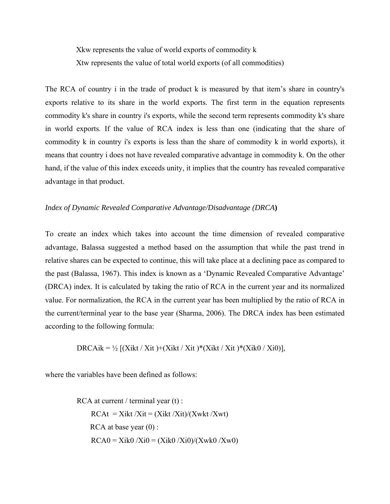Xkw represents the value of world exports of commodity k Xtw represents the value of total world exports (of all commodities)

The RCA of country i in the trade of product k is measured by that item's share in country's exports relative to its share in the world exports. The first term in the equation represents commodity k's share in country i's exports, while the second term represents commodity k's share in world exports. If the value of RCA index is less than one (indicating that the share of commodity k in country i's exports is less than the share of commodity k in world exports), it means that country i does not have revealed comparative advantage in commodity k. On the other hand, if the value of this index exceeds unity, it implies that the country has revealed comparative advantage in that product.

## *Index of Dynamic Revealed Comparative Advantage/Disadvantage (DRCA***)**

To create an index which takes into account the time dimension of revealed comparative advantage, Balassa suggested a method based on the assumption that while the past trend in relative shares can be expected to continue, this will take place at a declining pace as compared to the past (Balassa, 1967). This index is known as a 'Dynamic Revealed Comparative Advantage' (DRCA) index. It is calculated by taking the ratio of RCA in the current year and its normalized value. For normalization, the RCA in the current year has been multiplied by the ratio of RCA in the current/terminal year to the base year (Sharma, 2006). The DRCA index has been estimated according to the following formula:

DRCAik = ½  $[(Xikt / Xit) + (Xikt / Xit) * (Xikt / Xit) * (Xik0 / Xi0)],$ 

where the variables have been defined as follows:

RCA at current / terminal year (t) :  $RCAt = Xikt /Xit = (Xikt /Xit)/(Xwkt /Xwt)$ RCA at base year  $(0)$  :  $RCA0 = Xik0 / Xi0 = (Xik0 / Xi0) / (Xwk0 / Xw0)$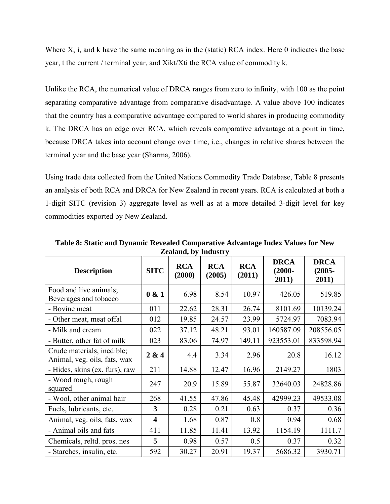Where X, i, and k have the same meaning as in the (static) RCA index. Here 0 indicates the base year, t the current / terminal year, and Xikt/Xti the RCA value of commodity k.

Unlike the RCA, the numerical value of DRCA ranges from zero to infinity, with 100 as the point separating comparative advantage from comparative disadvantage. A value above 100 indicates that the country has a comparative advantage compared to world shares in producing commodity k. The DRCA has an edge over RCA, which reveals comparative advantage at a point in time, because DRCA takes into account change over time, i.e., changes in relative shares between the terminal year and the base year (Sharma, 2006).

Using trade data collected from the United Nations Commodity Trade Database, Table 8 presents an analysis of both RCA and DRCA for New Zealand in recent years. RCA is calculated at both a 1-digit SITC (revision 3) aggregate level as well as at a more detailed 3-digit level for key commodities exported by New Zealand.

| <b>Description</b>                                         | <b>SITC</b>             | <b>RCA</b><br>(2000) | <b>RCA</b><br>(2005) | <b>RCA</b><br>(2011) | <b>DRCA</b><br>$(2000 -$<br>2011) | <b>DRCA</b><br>$(2005 -$<br>2011) |
|------------------------------------------------------------|-------------------------|----------------------|----------------------|----------------------|-----------------------------------|-----------------------------------|
| Food and live animals;<br>Beverages and tobacco            | 0 & 1                   | 6.98                 | 8.54                 | 10.97                | 426.05                            | 519.85                            |
| - Bovine meat                                              | 011                     | 22.62                | 28.31                | 26.74                | 8101.69                           | 10139.24                          |
| - Other meat, meat offal                                   | 012                     | 19.85                | 24.57                | 23.99                | 5724.97                           | 7083.94                           |
| - Milk and cream                                           | 022                     | 37.12                | 48.21                | 93.01                | 160587.09                         | 208556.05                         |
| - Butter, other fat of milk                                | 023                     | 83.06                | 74.97                | 149.11               | 923553.01                         | 833598.94                         |
| Crude materials, inedible;<br>Animal, veg. oils, fats, wax | 2 & 4                   | 4.4                  | 3.34                 | 2.96                 | 20.8                              | 16.12                             |
| - Hides, skins (ex. furs), raw                             | 211                     | 14.88                | 12.47                | 16.96                | 2149.27                           | 1803                              |
| - Wood rough, rough<br>squared                             | 247                     | 20.9                 | 15.89                | 55.87                | 32640.03                          | 24828.86                          |
| - Wool, other animal hair                                  | 268                     | 41.55                | 47.86                | 45.48                | 42999.23                          | 49533.08                          |
| Fuels, lubricants, etc.                                    | 3                       | 0.28                 | 0.21                 | 0.63                 | 0.37                              | 0.36                              |
| Animal, veg. oils, fats, wax                               | $\overline{\mathbf{4}}$ | 1.68                 | 0.87                 | 0.8                  | 0.94                              | 0.68                              |
| - Animal oils and fats                                     | 411                     | 11.85                | 11.41                | 13.92                | 1154.19                           | 1111.7                            |
| Chemicals, reltd. pros. nes                                | 5                       | 0.98                 | 0.57                 | 0.5                  | 0.37                              | 0.32                              |
| - Starches, insulin, etc.                                  | 592                     | 30.27                | 20.91                | 19.37                | 5686.32                           | 3930.71                           |

**Table 8: Static and Dynamic Revealed Comparative Advantage Index Values for New Zealand, by Industry**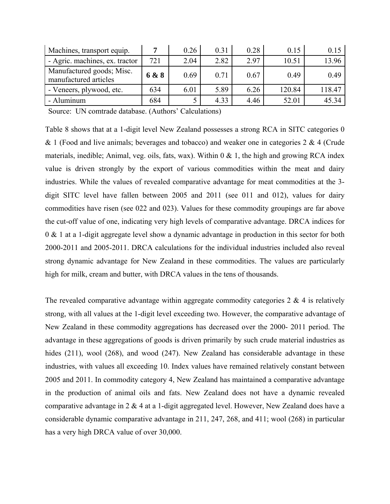| Machines, transport equip.                         |       | 0.26 | 0.31 | 0.28 | 0.15   | 0.15   |
|----------------------------------------------------|-------|------|------|------|--------|--------|
| - Agric. machines, ex. tractor                     | 721   | 2.04 | 2.82 | 2.97 | 10.51  | 13.96  |
| Manufactured goods; Misc.<br>manufactured articles | 6 & 8 | 0.69 | 0.71 | 0.67 | 0.49   | 0.49   |
| - Veneers, plywood, etc.                           | 634   | 6.01 | 5.89 | 6.26 | 120.84 | 118.47 |
| - Aluminum                                         | 684   |      | 4.33 | 4.46 | 52.01  | 45.34  |

Source: UN comtrade database. (Authors' Calculations)

Table 8 shows that at a 1-digit level New Zealand possesses a strong RCA in SITC categories 0  $& 1$  (Food and live animals; beverages and tobacco) and weaker one in categories 2  $& 4$  (Crude materials, inedible; Animal, veg. oils, fats, wax). Within  $0 \& 1$ , the high and growing RCA index value is driven strongly by the export of various commodities within the meat and dairy industries. While the values of revealed comparative advantage for meat commodities at the 3 digit SITC level have fallen between 2005 and 2011 (see 011 and 012), values for dairy commodities have risen (see 022 and 023). Values for these commodity groupings are far above the cut-off value of one, indicating very high levels of comparative advantage. DRCA indices for 0 & 1 at a 1-digit aggregate level show a dynamic advantage in production in this sector for both 2000-2011 and 2005-2011. DRCA calculations for the individual industries included also reveal strong dynamic advantage for New Zealand in these commodities. The values are particularly high for milk, cream and butter, with DRCA values in the tens of thousands.

The revealed comparative advantage within aggregate commodity categories  $2 \& 4$  is relatively strong, with all values at the 1-digit level exceeding two. However, the comparative advantage of New Zealand in these commodity aggregations has decreased over the 2000- 2011 period. The advantage in these aggregations of goods is driven primarily by such crude material industries as hides (211), wool (268), and wood (247). New Zealand has considerable advantage in these industries, with values all exceeding 10. Index values have remained relatively constant between 2005 and 2011. In commodity category 4, New Zealand has maintained a comparative advantage in the production of animal oils and fats. New Zealand does not have a dynamic revealed comparative advantage in 2 & 4 at a 1-digit aggregated level. However, New Zealand does have a considerable dynamic comparative advantage in 211, 247, 268, and 411; wool (268) in particular has a very high DRCA value of over 30,000.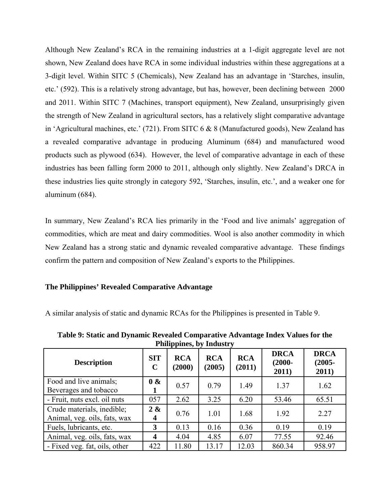Although New Zealand's RCA in the remaining industries at a 1-digit aggregate level are not shown, New Zealand does have RCA in some individual industries within these aggregations at a 3-digit level. Within SITC 5 (Chemicals), New Zealand has an advantage in 'Starches, insulin, etc.' (592). This is a relatively strong advantage, but has, however, been declining between 2000 and 2011. Within SITC 7 (Machines, transport equipment), New Zealand, unsurprisingly given the strength of New Zealand in agricultural sectors, has a relatively slight comparative advantage in 'Agricultural machines, etc.' (721). From SITC 6 & 8 (Manufactured goods), New Zealand has a revealed comparative advantage in producing Aluminum (684) and manufactured wood products such as plywood (634). However, the level of comparative advantage in each of these industries has been falling form 2000 to 2011, although only slightly. New Zealand's DRCA in these industries lies quite strongly in category 592, 'Starches, insulin, etc.', and a weaker one for aluminum (684).

In summary, New Zealand's RCA lies primarily in the 'Food and live animals' aggregation of commodities, which are meat and dairy commodities. Wool is also another commodity in which New Zealand has a strong static and dynamic revealed comparative advantage. These findings confirm the pattern and composition of New Zealand's exports to the Philippines.

# **The Philippines' Revealed Comparative Advantage**

A similar analysis of static and dynamic RCAs for the Philippines is presented in Table 9.

**Table 9: Static and Dynamic Revealed Comparative Advantage Index Values for the Philippines, by Industry** 

| <b>Description</b>                                         | <b>SIT</b><br>$\mathbf C$ | <b>RCA</b><br>(2000) | <b>RCA</b><br>(2005) | <b>RCA</b><br>(2011) | <b>DRCA</b><br>$(2000 -$<br>2011) | <b>DRCA</b><br>$(2005 -$<br>2011) |
|------------------------------------------------------------|---------------------------|----------------------|----------------------|----------------------|-----------------------------------|-----------------------------------|
| Food and live animals;<br>Beverages and tobacco            | 0 &                       | 0.57                 | 0.79                 | 1.49                 | 1.37                              | 1.62                              |
| - Fruit, nuts excl. oil nuts                               | 057                       | 2.62                 | 3.25                 | 6.20                 | 53.46                             | 65.51                             |
| Crude materials, inedible;<br>Animal, veg. oils, fats, wax | 2 &<br>4                  | 0.76                 | 1.01                 | 1.68                 | 1.92                              | 2.27                              |
| Fuels, lubricants, etc.                                    | 3                         | 0.13                 | 0.16                 | 0.36                 | 0.19                              | 0.19                              |
| Animal, veg. oils, fats, wax                               | $\boldsymbol{4}$          | 4.04                 | 4.85                 | 6.07                 | 77.55                             | 92.46                             |
| - Fixed veg. fat, oils, other                              | 422                       | 11.80                | 13.17                | 12.03                | 860.34                            | 958.97                            |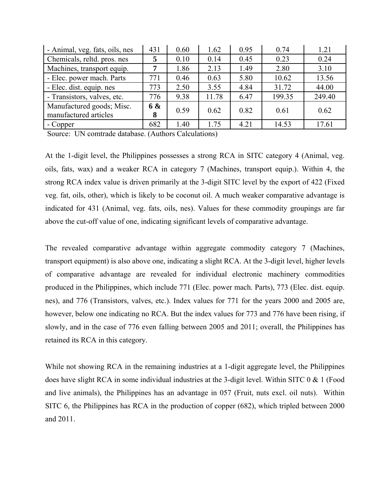| - Animal, veg. fats, oils, nes                     | 431                 | 0.60 | 1.62  | 0.95 | 0.74   | 1.21   |
|----------------------------------------------------|---------------------|------|-------|------|--------|--------|
| Chemicals, reltd. pros. nes                        | 5                   | 0.10 | 0.14  | 0.45 | 0.23   | 0.24   |
| Machines, transport equip.                         | 7                   | 1.86 | 2.13  | 1.49 | 2.80   | 3.10   |
| - Elec. power mach. Parts                          | 771                 | 0.46 | 0.63  | 5.80 | 10.62  | 13.56  |
| - Elec. dist. equip. nes                           | 773                 | 2.50 | 3.55  | 4.84 | 31.72  | 44.00  |
| - Transistors, valves, etc.                        | 776                 | 9.38 | 11.78 | 6.47 | 199.35 | 249.40 |
| Manufactured goods; Misc.<br>manufactured articles | <b>6 &amp;</b><br>8 | 0.59 | 0.62  | 0.82 | 0.61   | 0.62   |
| - Copper                                           | 682                 | 1.40 | 1.75  | 4.21 | 14.53  | 17.61  |

Source: UN comtrade database. (Authors Calculations)

At the 1-digit level, the Philippines possesses a strong RCA in SITC category 4 (Animal, veg. oils, fats, wax) and a weaker RCA in category 7 (Machines, transport equip.). Within 4, the strong RCA index value is driven primarily at the 3-digit SITC level by the export of 422 (Fixed veg. fat, oils, other), which is likely to be coconut oil. A much weaker comparative advantage is indicated for 431 (Animal, veg. fats, oils, nes). Values for these commodity groupings are far above the cut-off value of one, indicating significant levels of comparative advantage.

The revealed comparative advantage within aggregate commodity category 7 (Machines, transport equipment) is also above one, indicating a slight RCA. At the 3-digit level, higher levels of comparative advantage are revealed for individual electronic machinery commodities produced in the Philippines, which include 771 (Elec. power mach. Parts), 773 (Elec. dist. equip. nes), and 776 (Transistors, valves, etc.). Index values for 771 for the years 2000 and 2005 are, however, below one indicating no RCA. But the index values for 773 and 776 have been rising, if slowly, and in the case of 776 even falling between 2005 and 2011; overall, the Philippines has retained its RCA in this category.

While not showing RCA in the remaining industries at a 1-digit aggregate level, the Philippines does have slight RCA in some individual industries at the 3-digit level. Within SITC  $0 \& 1$  (Food and live animals), the Philippines has an advantage in 057 (Fruit, nuts excl. oil nuts). Within SITC 6, the Philippines has RCA in the production of copper (682), which tripled between 2000 and 2011.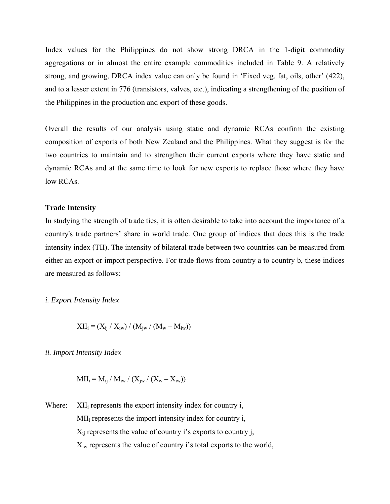Index values for the Philippines do not show strong DRCA in the 1-digit commodity aggregations or in almost the entire example commodities included in Table 9. A relatively strong, and growing, DRCA index value can only be found in 'Fixed veg. fat, oils, other' (422), and to a lesser extent in 776 (transistors, valves, etc.), indicating a strengthening of the position of the Philippines in the production and export of these goods.

Overall the results of our analysis using static and dynamic RCAs confirm the existing composition of exports of both New Zealand and the Philippines. What they suggest is for the two countries to maintain and to strengthen their current exports where they have static and dynamic RCAs and at the same time to look for new exports to replace those where they have low RCAs.

### **Trade Intensity**

In studying the strength of trade ties, it is often desirable to take into account the importance of a country's trade partners' share in world trade. One group of indices that does this is the trade intensity index (TII). The intensity of bilateral trade between two countries can be measured from either an export or import perspective. For trade flows from country a to country b, these indices are measured as follows:

#### *i. Export Intensity Index*

$$
XII_i = (X_{ij} / X_{iw}) / (M_{iw} / (M_w - M_{iw}))
$$

*ii. Import Intensity Index* 

$$
MII_i = M_{ij} / M_{iw} / (X_{jw} / (X_w - X_{iw}))
$$

Where:  $XII_i$  represents the export intensity index for country i,  $MI<sub>i</sub>$  represents the import intensity index for country i,  $X_{ii}$  represents the value of country i's exports to country j,  $X_{iw}$  represents the value of country i's total exports to the world,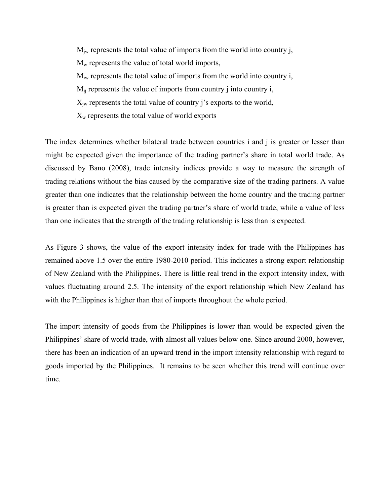$M_{iw}$  represents the total value of imports from the world into country j,  $M<sub>w</sub>$  represents the value of total world imports,  $M_{iw}$  represents the total value of imports from the world into country i,  $M_{ii}$  represents the value of imports from country j into country i,  $X_{iw}$  represents the total value of country j's exports to the world,  $X_w$  represents the total value of world exports

The index determines whether bilateral trade between countries i and j is greater or lesser than might be expected given the importance of the trading partner's share in total world trade. As discussed by Bano (2008), trade intensity indices provide a way to measure the strength of trading relations without the bias caused by the comparative size of the trading partners. A value greater than one indicates that the relationship between the home country and the trading partner is greater than is expected given the trading partner's share of world trade, while a value of less than one indicates that the strength of the trading relationship is less than is expected.

As Figure 3 shows, the value of the export intensity index for trade with the Philippines has remained above 1.5 over the entire 1980-2010 period. This indicates a strong export relationship of New Zealand with the Philippines. There is little real trend in the export intensity index, with values fluctuating around 2.5. The intensity of the export relationship which New Zealand has with the Philippines is higher than that of imports throughout the whole period.

The import intensity of goods from the Philippines is lower than would be expected given the Philippines' share of world trade, with almost all values below one. Since around 2000, however, there has been an indication of an upward trend in the import intensity relationship with regard to goods imported by the Philippines. It remains to be seen whether this trend will continue over time.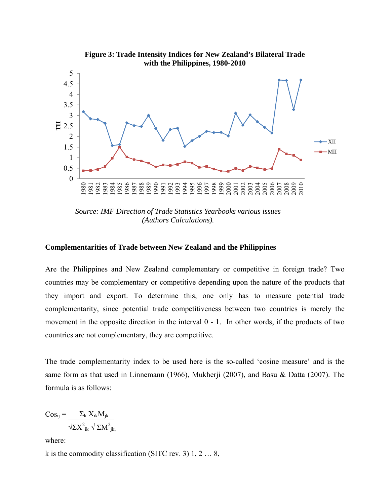

*Source: IMF Direction of Trade Statistics Yearbooks various issues (Authors Calculations).*

#### **Complementarities of Trade between New Zealand and the Philippines**

Are the Philippines and New Zealand complementary or competitive in foreign trade? Two countries may be complementary or competitive depending upon the nature of the products that they import and export. To determine this, one only has to measure potential trade complementarity, since potential trade competitiveness between two countries is merely the movement in the opposite direction in the interval 0 - 1. In other words, if the products of two countries are not complementary, they are competitive.

The trade complementarity index to be used here is the so-called 'cosine measure' and is the same form as that used in Linnemann (1966), Mukherji (2007), and Basu & Datta (2007). The formula is as follows:

$$
Cos_{ij} = \frac{\Sigma_k X_{ik} M_{jk}}{\sqrt{\Sigma X^2_{ik}} \sqrt{\Sigma M^2_{jk}}}
$$

where:

k is the commodity classification (SITC rev. 3)  $1, 2...8$ ,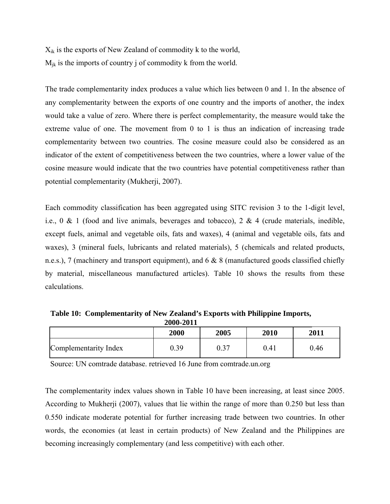$X_{ik}$  is the exports of New Zealand of commodity k to the world,  $M_{ik}$  is the imports of country j of commodity k from the world.

The trade complementarity index produces a value which lies between 0 and 1. In the absence of any complementarity between the exports of one country and the imports of another, the index would take a value of zero. Where there is perfect complementarity, the measure would take the extreme value of one. The movement from 0 to 1 is thus an indication of increasing trade complementarity between two countries. The cosine measure could also be considered as an indicator of the extent of competitiveness between the two countries, where a lower value of the cosine measure would indicate that the two countries have potential competitiveness rather than potential complementarity (Mukherji, 2007).

Each commodity classification has been aggregated using SITC revision 3 to the 1-digit level, i.e.,  $0 \& 1$  (food and live animals, beverages and tobacco),  $2 \& 4$  (crude materials, inedible, except fuels, animal and vegetable oils, fats and waxes), 4 (animal and vegetable oils, fats and waxes), 3 (mineral fuels, lubricants and related materials), 5 (chemicals and related products, n.e.s.), 7 (machinery and transport equipment), and 6 & 8 (manufactured goods classified chiefly by material, miscellaneous manufactured articles). Table 10 shows the results from these calculations.

**Table 10: Complementarity of New Zealand's Exports with Philippine Imports, 2000-2011** 

|                       | 2000 | 2005             | 2010 | 2011 |
|-----------------------|------|------------------|------|------|
| Complementarity Index | 0.39 | $\gamma$<br>v. J | 0.41 | 0.46 |

Source: UN comtrade database. retrieved 16 June from comtrade.un.org

The complementarity index values shown in Table 10 have been increasing, at least since 2005. According to Mukherji (2007), values that lie within the range of more than 0.250 but less than 0.550 indicate moderate potential for further increasing trade between two countries. In other words, the economies (at least in certain products) of New Zealand and the Philippines are becoming increasingly complementary (and less competitive) with each other.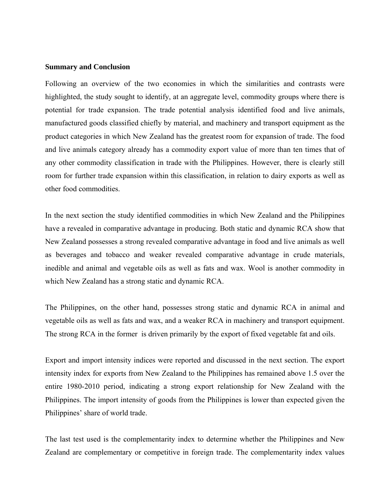### **Summary and Conclusion**

Following an overview of the two economies in which the similarities and contrasts were highlighted, the study sought to identify, at an aggregate level, commodity groups where there is potential for trade expansion. The trade potential analysis identified food and live animals, manufactured goods classified chiefly by material, and machinery and transport equipment as the product categories in which New Zealand has the greatest room for expansion of trade. The food and live animals category already has a commodity export value of more than ten times that of any other commodity classification in trade with the Philippines. However, there is clearly still room for further trade expansion within this classification, in relation to dairy exports as well as other food commodities.

In the next section the study identified commodities in which New Zealand and the Philippines have a revealed in comparative advantage in producing. Both static and dynamic RCA show that New Zealand possesses a strong revealed comparative advantage in food and live animals as well as beverages and tobacco and weaker revealed comparative advantage in crude materials, inedible and animal and vegetable oils as well as fats and wax. Wool is another commodity in which New Zealand has a strong static and dynamic RCA.

The Philippines, on the other hand, possesses strong static and dynamic RCA in animal and vegetable oils as well as fats and wax, and a weaker RCA in machinery and transport equipment. The strong RCA in the former is driven primarily by the export of fixed vegetable fat and oils.

Export and import intensity indices were reported and discussed in the next section. The export intensity index for exports from New Zealand to the Philippines has remained above 1.5 over the entire 1980-2010 period, indicating a strong export relationship for New Zealand with the Philippines. The import intensity of goods from the Philippines is lower than expected given the Philippines' share of world trade.

The last test used is the complementarity index to determine whether the Philippines and New Zealand are complementary or competitive in foreign trade. The complementarity index values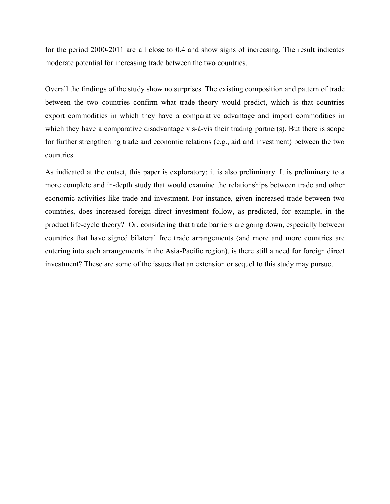for the period 2000-2011 are all close to 0.4 and show signs of increasing. The result indicates moderate potential for increasing trade between the two countries.

Overall the findings of the study show no surprises. The existing composition and pattern of trade between the two countries confirm what trade theory would predict, which is that countries export commodities in which they have a comparative advantage and import commodities in which they have a comparative disadvantage vis-à-vis their trading partner(s). But there is scope for further strengthening trade and economic relations (e.g., aid and investment) between the two countries.

As indicated at the outset, this paper is exploratory; it is also preliminary. It is preliminary to a more complete and in-depth study that would examine the relationships between trade and other economic activities like trade and investment. For instance, given increased trade between two countries, does increased foreign direct investment follow, as predicted, for example, in the product life-cycle theory? Or, considering that trade barriers are going down, especially between countries that have signed bilateral free trade arrangements (and more and more countries are entering into such arrangements in the Asia-Pacific region), is there still a need for foreign direct investment? These are some of the issues that an extension or sequel to this study may pursue.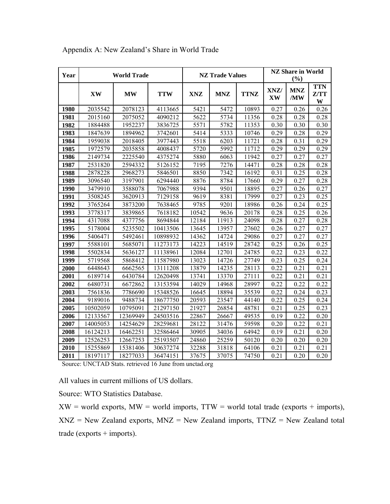| Year |           | <b>World Trade</b> |            |            | <b>NZ Trade Values</b> |             |                   | <b>NZ Share in World</b><br>(%) |                         |  |  |
|------|-----------|--------------------|------------|------------|------------------------|-------------|-------------------|---------------------------------|-------------------------|--|--|
|      | <b>XW</b> | <b>MW</b>          | <b>TTW</b> | <b>XNZ</b> | <b>MNZ</b>             | <b>TTNZ</b> | XNZ/<br><b>XW</b> | <b>MNZ</b><br>/MW               | <b>TTN</b><br>Z/TT<br>W |  |  |
| 1980 | 2035542   | 2078123            | 4113665    | 5421       | 5472                   | 10893       | 0.27              | 0.26                            | 0.26                    |  |  |
| 1981 | 2015160   | 2075052            | 4090212    | 5622       | 5734                   | 11356       | 0.28              | 0.28                            | 0.28                    |  |  |
| 1982 | 1884488   | 1952237            | 3836725    | 5571       | 5782                   | 11353       | 0.30              | 0.30                            | 0.30                    |  |  |
| 1983 | 1847639   | 1894962            | 3742601    | 5414       | 5333                   | 10746       | 0.29              | 0.28                            | 0.29                    |  |  |
| 1984 | 1959038   | 2018405            | 3977443    | 5518       | 6203                   | 11721       | 0.28              | 0.31                            | 0.29                    |  |  |
| 1985 | 1972579   | 2035858            | 4008437    | 5720       | 5992                   | 11712       | 0.29              | 0.29                            | 0.29                    |  |  |
| 1986 | 2149734   | 2225540            | 4375274    | 5880       | 6063                   | 11942       | 0.27              | 0.27                            | 0.27                    |  |  |
| 1987 | 2531820   | 2594332            | 5126152    | 7195       | 7276                   | 14471       | 0.28              | 0.28                            | 0.28                    |  |  |
| 1988 | 2878228   | 2968273            | 5846501    | 8850       | 7342                   | 16192       | 0.31              | 0.25                            | 0.28                    |  |  |
| 1989 | 3096540   | 3197901            | 6294440    | 8876       | 8784                   | 17660       | 0.29              | 0.27                            | 0.28                    |  |  |
| 1990 | 3479910   | 3588078            | 7067988    | 9394       | 9501                   | 18895       | 0.27              | 0.26                            | 0.27                    |  |  |
| 1991 | 3508245   | 3620913            | 7129158    | 9619       | 8381                   | 17999       | 0.27              | 0.23                            | 0.25                    |  |  |
| 1992 | 3765264   | 3873200            | 7638465    | 9785       | 9201                   | 18986       | 0.26              | 0.24                            | 0.25                    |  |  |
| 1993 | 3778317   | 3839865            | 7618182    | 10542      | 9636                   | 20178       | 0.28              | 0.25                            | 0.26                    |  |  |
| 1994 | 4317088   | 4377756            | 8694844    | 12184      | 11913                  | 24098       | 0.28              | 0.27                            | 0.28                    |  |  |
| 1995 | 5178004   | 5235502            | 10413506   | 13645      | 13957                  | 27602       | 0.26              | 0.27                            | 0.27                    |  |  |
| 1996 | 5406471   | 5492461            | 10898932   | 14362      | 14724                  | 29086       | 0.27              | 0.27                            | 0.27                    |  |  |
| 1997 | 5588101   | 5685071            | 11273173   | 14223      | 14519                  | 28742       | 0.25              | 0.26                            | 0.25                    |  |  |
| 1998 | 5502834   | 5636127            | 11138961   | 12084      | 12701                  | 24785       | 0.22              | 0.23                            | 0.22                    |  |  |
| 1999 | 5719568   | 5868412            | 11587980   | 13023      | 14726                  | 27749       | 0.23              | 0.25                            | 0.24                    |  |  |
| 2000 | 6448643   | 6662565            | 13111208   | 13879      | 14235                  | 28113       | 0.22              | 0.21                            | 0.21                    |  |  |
| 2001 | 6189714   | 6430784            | 12620498   | 13741      | 13370                  | 27111       | 0.22              | 0.21                            | 0.21                    |  |  |
| 2002 | 6480731   | 6672862            | 13153594   | 14029      | 14968                  | 28997       | 0.22              | 0.22                            | 0.22                    |  |  |
| 2003 | 7561836   | 7786690            | 15348526   | 16645      | 18894                  | 35539       | 0.22              | 0.24                            | 0.23                    |  |  |
| 2004 | 9189016   | 9488734            | 18677750   | 20593      | 23547                  | 44140       | 0.22              | 0.25                            | 0.24                    |  |  |
| 2005 | 10502059  | 10795091           | 21297150   | 21927      | 26854                  | 48781       | 0.21              | 0.25                            | 0.23                    |  |  |
| 2006 | 12133567  | 12369949           | 24503516   | 22867      | 26667                  | 49535       | 0.19              | 0.22                            | 0.20                    |  |  |
| 2007 | 14005053  | 14254629           | 28259681   | 28122      | 31476                  | 59598       | 0.20              | 0.22                            | 0.21                    |  |  |
| 2008 | 16124213  | 16462251           | 32586464   | 30905      | 34036                  | 64942       | 0.19              | 0.21                            | 0.20                    |  |  |
| 2009 | 12526253  | 12667253           | 25193507   | 24860      | 25259                  | 50120       | 0.20              | 0.20                            | 0.20                    |  |  |
| 2010 | 15255869  | 15381406           | 30637274   | 32288      | 31818                  | 64106       | 0.21              | 0.21                            | 0.21                    |  |  |
| 2011 | 18197117  | 18277033           | 36474151   | 37675      | 37075                  | 74750       | 0.21              | 0.20                            | 0.20                    |  |  |

Appendix A: New Zealand's Share in World Trade

Source: UNCTAD Stats. retrieved 16 June from unctad.org

All values in current millions of US dollars.

Source: WTO Statistics Database.

 $XW =$  world exports,  $MW =$  world imports,  $TTW =$  world total trade (exports + imports),  $XNZ$  = New Zealand exports,  $MNZ$  = New Zealand imports,  $TTNZ$  = New Zealand total  $trade (exports + imports).$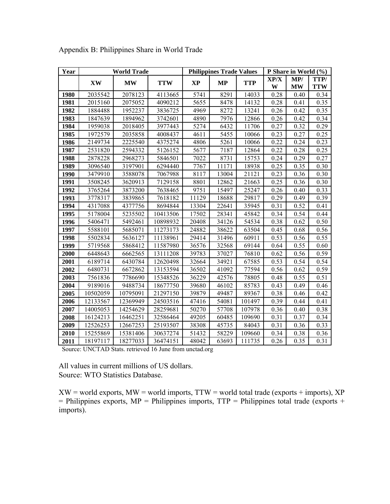| Year |           | <b>World Trade</b> |            |           | <b>Philippines Trade Values</b> |            |           | P Share in World (%) |                    |  |  |
|------|-----------|--------------------|------------|-----------|---------------------------------|------------|-----------|----------------------|--------------------|--|--|
|      | <b>XW</b> | $\mathbf{MW}$      | <b>TTW</b> | <b>XP</b> | <b>MP</b>                       | <b>TTP</b> | XP/X<br>W | MP/<br><b>MW</b>     | TTP/<br><b>TTW</b> |  |  |
| 1980 | 2035542   | 2078123            | 4113665    | 5741      | 8291                            | 14033      | 0.28      | 0.40                 | 0.34               |  |  |
| 1981 | 2015160   | 2075052            | 4090212    | 5655      | 8478                            | 14132      | 0.28      | 0.41                 | 0.35               |  |  |
| 1982 | 1884488   | 1952237            | 3836725    | 4969      | 8272                            | 13241      | 0.26      | 0.42                 | 0.35               |  |  |
| 1983 | 1847639   | 1894962            | 3742601    | 4890      | 7976                            | 12866      | 0.26      | 0.42                 | 0.34               |  |  |
| 1984 | 1959038   | 2018405            | 3977443    | 5274      | 6432                            | 11706      | 0.27      | 0.32                 | 0.29               |  |  |
| 1985 | 1972579   | 2035858            | 4008437    | 4611      | 5455                            | 10066      | 0.23      | 0.27                 | 0.25               |  |  |
| 1986 | 2149734   | 2225540            | 4375274    | 4806      | 5261                            | 10066      | 0.22      | 0.24                 | 0.23               |  |  |
| 1987 | 2531820   | 2594332            | 5126152    | 5677      | 7187                            | 12864      | 0.22      | 0.28                 | 0.25               |  |  |
| 1988 | 2878228   | 2968273            | 5846501    | 7022      | 8731                            | 15753      | 0.24      | 0.29                 | 0.27               |  |  |
| 1989 | 3096540   | 3197901            | 6294440    | 7767      | 11171                           | 18938      | 0.25      | 0.35                 | 0.30               |  |  |
| 1990 | 3479910   | 3588078            | 7067988    | 8117      | 13004                           | 21121      | 0.23      | 0.36                 | 0.30               |  |  |
| 1991 | 3508245   | 3620913            | 7129158    | 8801      | 12862                           | 21663      | 0.25      | 0.36                 | 0.30               |  |  |
| 1992 | 3765264   | 3873200            | 7638465    | 9751      | 15497                           | 25247      | 0.26      | 0.40                 | 0.33               |  |  |
| 1993 | 3778317   | 3839865            | 7618182    | 11129     | 18688                           | 29817      | 0.29      | 0.49                 | 0.39               |  |  |
| 1994 | 4317088   | 4377756            | 8694844    | 13304     | 22641                           | 35945      | 0.31      | 0.52                 | 0.41               |  |  |
| 1995 | 5178004   | 5235502            | 10413506   | 17502     | 28341                           | 45842      | 0.34      | 0.54                 | 0.44               |  |  |
| 1996 | 5406471   | 5492461            | 10898932   | 20408     | 34126                           | 54534      | 0.38      | 0.62                 | 0.50               |  |  |
| 1997 | 5588101   | 5685071            | 11273173   | 24882     | 38622                           | 63504      | 0.45      | 0.68                 | 0.56               |  |  |
| 1998 | 5502834   | 5636127            | 11138961   | 29414     | 31496                           | 60911      | 0.53      | 0.56                 | 0.55               |  |  |
| 1999 | 5719568   | 5868412            | 11587980   | 36576     | 32568                           | 69144      | 0.64      | 0.55                 | 0.60               |  |  |
| 2000 | 6448643   | 6662565            | 13111208   | 39783     | 37027                           | 76810      | 0.62      | 0.56                 | 0.59               |  |  |
| 2001 | 6189714   | 6430784            | 12620498   | 32664     | 34921                           | 67585      | 0.53      | 0.54                 | 0.54               |  |  |
| 2002 | 6480731   | 6672862            | 13153594   | 36502     | 41092                           | 77594      | 0.56      | 0.62                 | 0.59               |  |  |
| 2003 | 7561836   | 7786690            | 15348526   | 36229     | 42576                           | 78805      | 0.48      | 0.55                 | 0.51               |  |  |
| 2004 | 9189016   | 9488734            | 18677750   | 39680     | 46102                           | 85783      | 0.43      | 0.49                 | 0.46               |  |  |
| 2005 | 10502059  | 10795091           | 21297150   | 39879     | 49487                           | 89367      | 0.38      | 0.46                 | 0.42               |  |  |
| 2006 | 12133567  | 12369949           | 24503516   | 47416     | 54081                           | 101497     | 0.39      | 0.44                 | 0.41               |  |  |
| 2007 | 14005053  | 14254629           | 28259681   | 50270     | 57708                           | 107978     | 0.36      | 0.40                 | 0.38               |  |  |
| 2008 | 16124213  | 16462251           | 32586464   | 49205     | 60485                           | 109690     | 0.31      | 0.37                 | 0.34               |  |  |
| 2009 | 12526253  | 12667253           | 25193507   | 38308     | 45735                           | 84043      | 0.31      | 0.36                 | 0.33               |  |  |
| 2010 | 15255869  | 15381406           | 30637274   | 51432     | 58229                           | 109660     | 0.34      | 0.38                 | 0.36               |  |  |
| 2011 | 18197117  | 18277033           | 36474151   | 48042     | 63693                           | 111735     | 0.26      | 0.35                 | 0.31               |  |  |

Appendix B: Philippines Share in World Trade

Source: UNCTAD Stats. retrieved 16 June from unctad.org

All values in current millions of US dollars. Source: WTO Statistics Database.

 $XW =$  world exports,  $MW =$  world imports,  $TTW =$  world total trade (exports + imports),  $XP$  $=$  Philippines exports, MP = Philippines imports, TTP = Philippines total trade (exports + imports).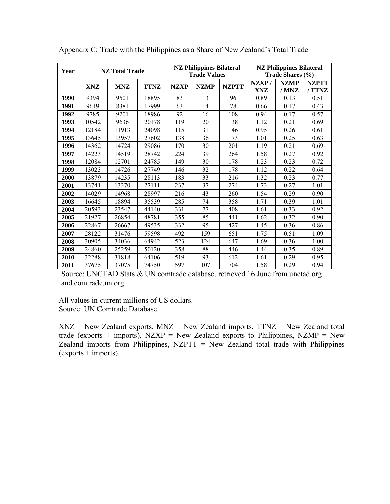| Year |            | <b>NZ</b> Total Trade |             |             | <b>NZ Philippines Bilateral</b><br><b>Trade Values</b> |              | <b>NZ Philippines Bilateral</b><br>Trade Shares (%) |                      |                        |  |
|------|------------|-----------------------|-------------|-------------|--------------------------------------------------------|--------------|-----------------------------------------------------|----------------------|------------------------|--|
|      | <b>XNZ</b> | <b>MNZ</b>            | <b>TTNZ</b> | <b>NZXP</b> | <b>NZMP</b>                                            | <b>NZPTT</b> | NZXP/<br>XNZ                                        | <b>NZMP</b><br>/ MNZ | <b>NZPTT</b><br>/ TTNZ |  |
| 1990 | 9394       | 9501                  | 18895       | 83          | 13                                                     | 96           | 0.89                                                | 0.13                 | 0.51                   |  |
| 1991 | 9619       | 8381                  | 17999       | 63          | 14                                                     | 78           | 0.66                                                | 0.17                 | 0.43                   |  |
| 1992 | 9785       | 9201                  | 18986       | 92          | 16                                                     | 108          | 0.94                                                | 0.17                 | 0.57                   |  |
| 1993 | 10542      | 9636                  | 20178       | 119         | 20                                                     | 138          | 1.12                                                | 0.21                 | 0.69                   |  |
| 1994 | 12184      | 11913                 | 24098       | 115         | 31                                                     | 146          | 0.95                                                | 0.26                 | 0.61                   |  |
| 1995 | 13645      | 13957                 | 27602       | 138         | 36                                                     | 173          | 1.01                                                | 0.25                 | 0.63                   |  |
| 1996 | 14362      | 14724                 | 29086       | 170         | 30                                                     | 201          | 1.19                                                | 0.21                 | 0.69                   |  |
| 1997 | 14223      | 14519                 | 28742       | 224         | 39                                                     | 264          | 1.58                                                | 0.27                 | 0.92                   |  |
| 1998 | 12084      | 12701                 | 24785       | 149         | 30                                                     | 178          | 1.23                                                | 0.23                 | 0.72                   |  |
| 1999 | 13023      | 14726                 | 27749       | 146         | 32                                                     | 178          | 1.12                                                | 0.22                 | 0.64                   |  |
| 2000 | 13879      | 14235                 | 28113       | 183         | 33                                                     | 216          | 1.32                                                | 0.23                 | 0.77                   |  |
| 2001 | 13741      | 13370                 | 27111       | 237         | 37                                                     | 274          | 1.73                                                | 0.27                 | 1.01                   |  |
| 2002 | 14029      | 14968                 | 28997       | 216         | 43                                                     | 260          | 1.54                                                | 0.29                 | 0.90                   |  |
| 2003 | 16645      | 18894                 | 35539       | 285         | 74                                                     | 358          | 1.71                                                | 0.39                 | 1.01                   |  |
| 2004 | 20593      | 23547                 | 44140       | 331         | 77                                                     | 408          | 1.61                                                | 0.33                 | 0.92                   |  |
| 2005 | 21927      | 26854                 | 48781       | 355         | 85                                                     | 441          | 1.62                                                | 0.32                 | 0.90                   |  |
| 2006 | 22867      | 26667                 | 49535       | 332         | 95                                                     | 427          | 1.45                                                | 0.36                 | 0.86                   |  |
| 2007 | 28122      | 31476                 | 59598       | 492         | 159                                                    | 651          | 1.75                                                | 0.51                 | 1.09                   |  |
| 2008 | 30905      | 34036                 | 64942       | 523         | 124                                                    | 647          | 1.69                                                | 0.36                 | 1.00                   |  |
| 2009 | 24860      | 25259                 | 50120       | 358         | 88                                                     | 446          | 1.44                                                | 0.35                 | 0.89                   |  |
| 2010 | 32288      | 31818                 | 64106       | 519         | 93                                                     | 612          | 1.61                                                | 0.29                 | 0.95                   |  |
| 2011 | 37675      | 37075                 | 74750       | 597         | 107                                                    | 704          | 1.58                                                | 0.29                 | 0.94                   |  |

Appendix C: Trade with the Philippines as a Share of New Zealand's Total Trade

Source: UNCTAD Stats & UN comtrade database. retrieved 16 June from unctad.org and comtrade.un.org

All values in current millions of US dollars. Source: UN Comtrade Database.

 $XNZ$  = New Zealand exports,  $MNZ$  = New Zealand imports,  $TTNZ$  = New Zealand total trade (exports + imports), NZXP = New Zealand exports to Philippines, NZMP = New Zealand imports from Philippines,  $NZPTT = New Zealand total trade with Philippines$  $(exports + imports).$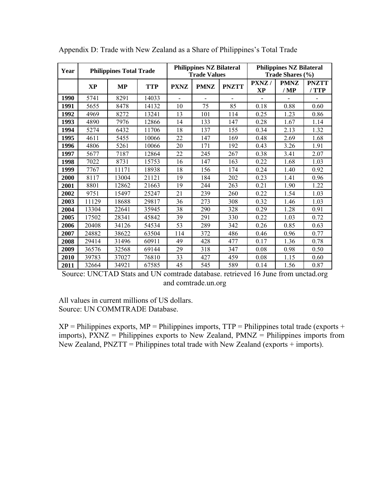| Year |       | <b>Philippines Total Trade</b> |            |             | <b>Philippines NZ Bilateral</b><br><b>Trade Values</b> |              |             | <b>Philippines NZ Bilateral</b><br>Trade Shares (%) |                       |
|------|-------|--------------------------------|------------|-------------|--------------------------------------------------------|--------------|-------------|-----------------------------------------------------|-----------------------|
|      | XP    | МP                             | <b>TTP</b> | <b>PXNZ</b> | <b>PMNZ</b>                                            | <b>PNZTT</b> | PXNZ/<br>XP | <b>PMNZ</b><br>/ MP                                 | <b>PNZTT</b><br>/ TTP |
| 1990 | 5741  | 8291                           | 14033      |             |                                                        |              |             |                                                     |                       |
| 1991 | 5655  | 8478                           | 14132      | 10          | 75                                                     | 85           | 0.18        | 0.88                                                | 0.60                  |
| 1992 | 4969  | 8272                           | 13241      | 13          | 101                                                    | 114          | 0.25        | 1.23                                                | 0.86                  |
| 1993 | 4890  | 7976                           | 12866      | 14          | 133                                                    | 147          | 0.28        | 1.67                                                | 1.14                  |
| 1994 | 5274  | 6432                           | 11706      | 18          | 137                                                    | 155          | 0.34        | 2.13                                                | 1.32                  |
| 1995 | 4611  | 5455                           | 10066      | 22          | 147                                                    | 169          | 0.48        | 2.69                                                | 1.68                  |
| 1996 | 4806  | 5261                           | 10066      | 20          | 171                                                    | 192          | 0.43        | 3.26                                                | 1.91                  |
| 1997 | 5677  | 7187                           | 12864      | 22          | 245                                                    | 267          | 0.38        | 3.41                                                | 2.07                  |
| 1998 | 7022  | 8731                           | 15753      | 16          | 147                                                    | 163          | 0.22        | 1.68                                                | 1.03                  |
| 1999 | 7767  | 11171                          | 18938      | 18          | 156                                                    | 174          | 0.24        | 1.40                                                | 0.92                  |
| 2000 | 8117  | 13004                          | 21121      | 19          | 184                                                    | 202          | 0.23        | 1.41                                                | 0.96                  |
| 2001 | 8801  | 12862                          | 21663      | 19          | 244                                                    | 263          | 0.21        | 1.90                                                | 1.22                  |
| 2002 | 9751  | 15497                          | 25247      | 21          | 239                                                    | 260          | 0.22        | 1.54                                                | 1.03                  |
| 2003 | 11129 | 18688                          | 29817      | 36          | 273                                                    | 308          | 0.32        | 1.46                                                | 1.03                  |
| 2004 | 13304 | 22641                          | 35945      | 38          | 290                                                    | 328          | 0.29        | 1.28                                                | 0.91                  |
| 2005 | 17502 | 28341                          | 45842      | 39          | 291                                                    | 330          | 0.22        | 1.03                                                | 0.72                  |
| 2006 | 20408 | 34126                          | 54534      | 53          | 289                                                    | 342          | 0.26        | 0.85                                                | 0.63                  |
| 2007 | 24882 | 38622                          | 63504      | 114         | 372                                                    | 486          | 0.46        | 0.96                                                | 0.77                  |
| 2008 | 29414 | 31496                          | 60911      | 49          | 428                                                    | 477          | 0.17        | 1.36                                                | 0.78                  |
| 2009 | 36576 | 32568                          | 69144      | 29          | 318                                                    | 347          | 0.08        | 0.98                                                | 0.50                  |
| 2010 | 39783 | 37027                          | 76810      | 33          | 427                                                    | 459          | 0.08        | 1.15                                                | 0.60                  |
| 2011 | 32664 | 34921                          | 67585      | 45          | 545                                                    | 589          | 0.14        | 1.56                                                | 0.87                  |

Appendix D: Trade with New Zealand as a Share of Philippines's Total Trade

Source: UNCTAD Stats and UN comtrade database. retrieved 16 June from unctad.org and comtrade.un.org

All values in current millions of US dollars. Source: UN COMMTRADE Database.

 $XP =$  Philippines exports,  $MP =$  Philippines imports,  $TTP =$  Philippines total trade (exports + imports), PXNZ = Philippines exports to New Zealand, PMNZ = Philippines imports from New Zealand,  $PNZTT =$  Philippines total trade with New Zealand (exports + imports).